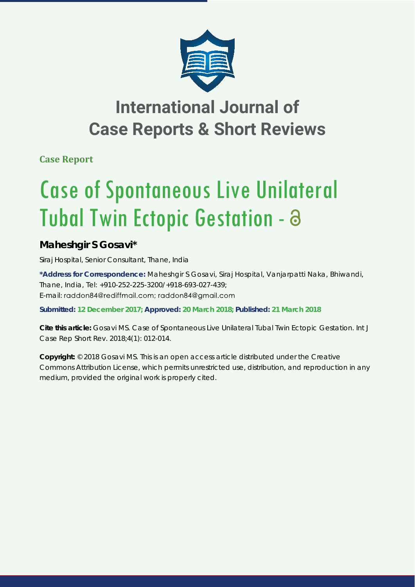

## **International Journal of Case Reports & Short Reviews**

**Case Report**

# Case of Spontaneous Live Unilateral Tubal Twin Ectopic Gestation - a

### **Maheshgir S Gosavi\***

*Siraj Hospital, Senior Consultant, Thane, India*

**\*Address for Correspondence:** Maheshgir S Gosavi, Siraj Hospital, Vanjarpatti Naka, Bhiwandi, Thane, India, Tel: +910-252-225-3200/+918-693-027-439; E-mail: raddon84@rediffmail.com; raddon84@gmail.com

**Submitted: 12 December 2017; Approved: 20 March 2018; Published: 21 March 2018**

**Cite this article:** Gosavi MS. Case of Spontaneous Live Unilateral Tubal Twin Ectopic Gestation. Int J Case Rep Short Rev. 2018;4(1): 012-014.

**Copyright:** © 2018 Gosavi MS. This is an open access article distributed under the Creative Commons Attribution License, which permits unrestricted use, distribution, and reproduction in any medium, provided the original work is properly cited.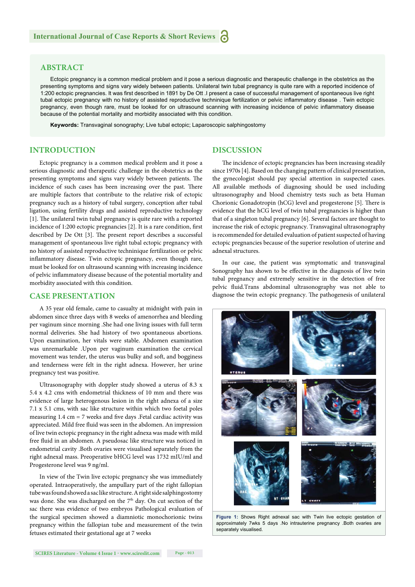#### **ABSTRACT**

Ectopic pregnancy is a common medical problem and it pose a serious diagnostic and therapeutic challenge in the obstetrics as the presenting symptoms and signs vary widely between patients. Unilateral twin tubal pregnancy is quite rare with a reported incidence of 1:200 ectopic pregnancies. It was first described in 1891 by De Ott .I present a case of successful management of spontaneous live right tubal ectopic pregnancy with no history of assisted reproductive techninique fertilization or pelvic inflammatory disease . Twin ectopic pregnancy, even though rare, must be looked for on ultrasound scanning with increasing incidence of pelvic inflammatory disease because of the potential mortality and morbidity associated with this condition.

**Keywords:** Transvaginal sonography; Live tubal ectopic; Laparoscopic salphingostomy

#### **INTRODUCTION**

Ectopic pregnancy is a common medical problem and it pose a serious diagnostic and therapeutic challenge in the obstetrics as the presenting symptoms and signs vary widely between patients. The incidence of such cases has been increasing over the past. There are multiple factors that contribute to the relative risk of ectopic pregnancy such as a history of tubal surgery, conception after tubal ligation, using fertility drugs and assisted reproductive technology  $[1]$ . The unilateral twin tubal pregnancy is quite rare with a reported incidence of  $1:200$  ectopic pregnancies  $[2]$ . It is a rare condition, first described by De Ott [3]. The present report describes a successful management of spontaneous live right tubal ectopic pregnancy with no history of assisted reproductive techninique fertilization or pelvic inflammatory disease. Twin ectopic pregnancy, even though rare, must be looked for on ultrasound scanning with increasing incidence of pelvic inflammatory disease because of the potential mortality and morbidity associated with this condition.

#### **CASE PRESENTATION**

A 35 year old female, came to casualty at midnight with pain in abdomen since three days with 8 weeks of amenorrhea and bleeding per vaginum since morning .She had one living issues with full term normal deliveries. She had history of two spontaneous abortions. Upon examination, her vitals were stable. Abdomen examination was unremarkable .Upon per vaginum examination the cervical movement was tender, the uterus was bulky and soft, and bogginess and tenderness were felt in the right adnexa. However, her urine pregnancy test was positive.

Ultrasonography with doppler study showed a uterus of 8.3 x 5.4 x 4.2 cms with endometrial thickness of 10 mm and there was evidence of large heterogenous lesion in the right adnexa of a size 7.1 x 5.1 cms, with sac like structure within which two foetal poles measuring  $1.4 \text{ cm} = 7$  weeks and five days . Fetal cardiac activity was appreciated. Mild free fluid was seen in the abdomen. An impression of live twin ectopic pregnancy in the right adnexa was made with mild free fluid in an abdomen. A pseudosac like structure was noticed in endometrial cavity .Both ovaries were visualised separately from the right adnexal mass. Preoperative bHCG level was 1732 mIU/ml and Progesterone level was 9 ng/ml.

In view of the Twin live ectopic pregnancy she was immediately operated. Intraoperatively, the ampullary part of the right fallopian tube was found showed a sac like structure. A right side salphingostomy was done. She was discharged on the 7<sup>th</sup> day. On cut section of the sac there was evidence of two embryos Pathological evaluation of the surgical specimen showed a diamniotic monochorionic twins pregnancy within the fallopian tube and measurement of the twin fetuses estimated their gestational age at 7 weeks

#### **DISCUSSION**

The incidence of ectopic pregnancies has been increasing steadily since 1970s [4]. Based on the changing pattern of clinical presentation, the gynecologist should pay special attention in suspected cases. All available methods of diagnosing should be used including ultrasonography and blood chemistry tests such as beta Human Chorionic Gonadotropin (hCG) level and progesterone [5]. There is evidence that the hCG level of twin tubal pregnancies is higher than that of a singleton tubal pregnancy [6]. Several factors are thought to increase the risk of ectopic pregnancy. Transvaginal ultrasonography is recommended for detailed evaluation of patient suspected of having ectopic pregnancies because of the superior resolution of uterine and adnexal structures.

In our case, the patient was symptomatic and transvaginal Sonography has shown to be effective in the diagnosis of live twin tubal pregnancy and extremely sensitive in the detection of free pelvic fluid.Trans abdominal ultrasonography was not able to diagnose the twin ectopic pregnancy. The pathogenesis of unilateral



Figure 1: Shows Right adnexal sac with Twin live ectopic gestation of approximately 7wks 5 days .No intrauterine pregnancy .Both ovaries are separately visualised.